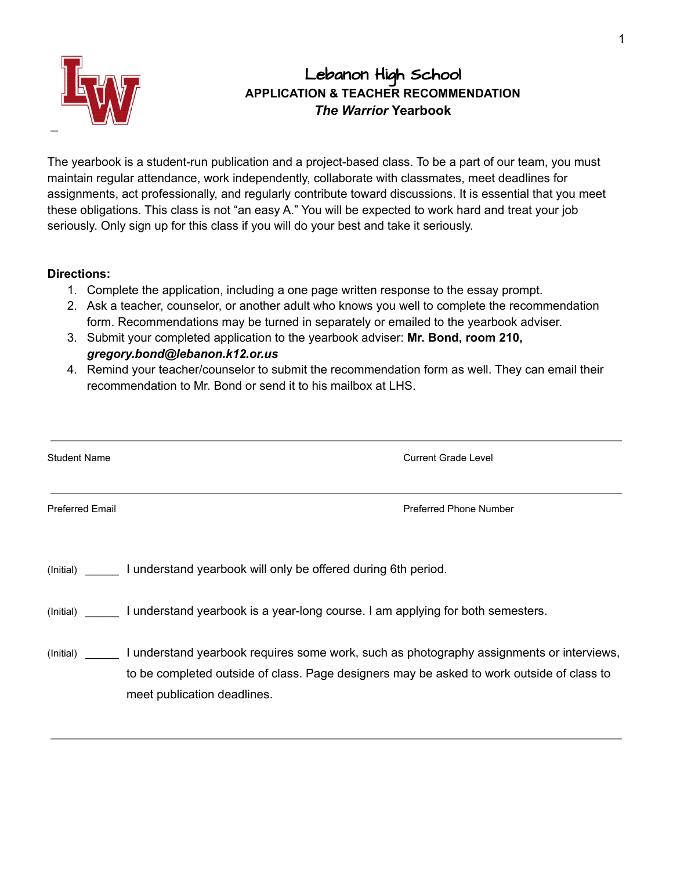

# Lebanon High School **APPLICATION & TEACHER RECOMMENDATION** *The Warrior* **Yearbook**

The yearbook is a student-run publication and a project-based class. To be a part of our team, you must maintain regular attendance, work independently, collaborate with classmates, meet deadlines for assignments, act professionally, and regularly contribute toward discussions. It is essential that you meet these obligations. This class is not "an easy A." You will be expected to work hard and treat your job seriously. Only sign up for this class if you will do your best and take it seriously.

### **Directions:**

- 1. Complete the application, including a one page written response to the essay prompt.
- 2. Ask a teacher, counselor, or another adult who knows you well to complete the recommendation form. Recommendations may be turned in separately or emailed to the yearbook adviser.
- 3. Submit your completed application to the yearbook adviser: **Mr. Bond, room 210,** *gregory.bond@lebanon.k12.or.us*
- 4. Remind your teacher/counselor to submit the recommendation form as well. They can email their recommendation to Mr. Bond or send it to his mailbox at LHS.

| <b>Student Name</b>    | <b>Current Grade Level</b>                                                                                                                                                                                           |
|------------------------|----------------------------------------------------------------------------------------------------------------------------------------------------------------------------------------------------------------------|
| <b>Preferred Email</b> | Preferred Phone Number                                                                                                                                                                                               |
|                        | (Initial) I understand yearbook will only be offered during 6th period.                                                                                                                                              |
|                        | (Initial) I understand yearbook is a year-long course. I am applying for both semesters.                                                                                                                             |
| (Initial)              | I understand yearbook requires some work, such as photography assignments or interviews,<br>to be completed outside of class. Page designers may be asked to work outside of class to<br>meet publication deadlines. |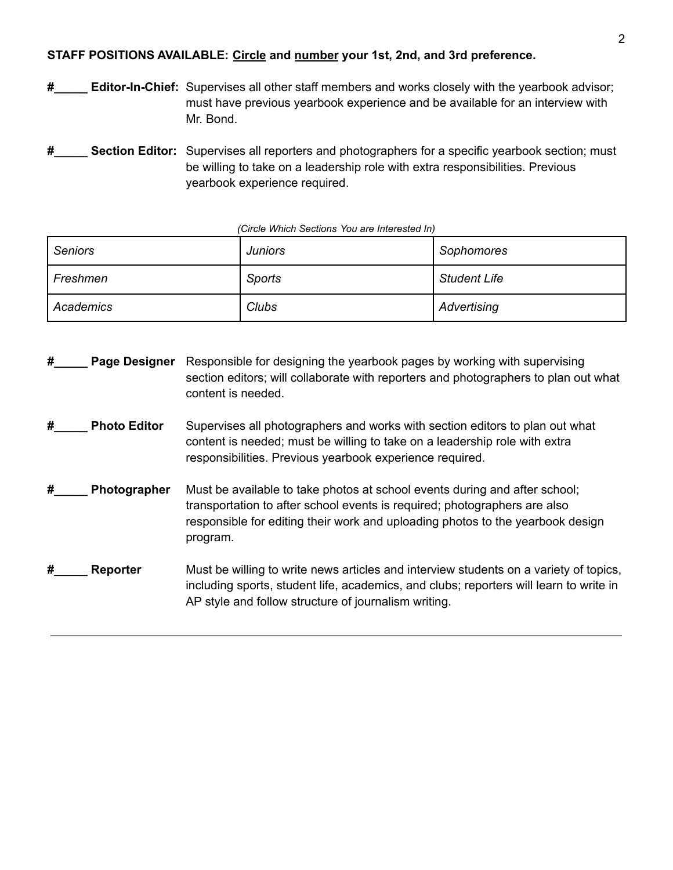# **STAFF POSITIONS AVAILABLE: Circle and number your 1st, 2nd, and 3rd preference.**

**#\_\_\_\_\_ Editor-In-Chief:** Supervises all other staff members and works closely with the yearbook advisor; must have previous yearbook experience and be available for an interview with Mr. Bond.

**#\_\_\_\_\_ Section Editor:** Supervises all reporters and photographers for a specific yearbook section; must be willing to take on a leadership role with extra responsibilities. Previous yearbook experience required.

| <b>Seniors</b> | Juniors | Sophomores          |
|----------------|---------|---------------------|
| Freshmen       | Sports  | <b>Student Life</b> |
| Academics      | Clubs   | Advertising         |

#### *(Circle Which Sections You are Interested In)*

**#\_\_\_\_\_ Page Designer** Responsible for designing the yearbook pages by working with supervising section editors; will collaborate with reporters and photographers to plan out what content is needed. **#\_\_\_\_\_ Photo Editor** Supervises all photographers and works with section editors to plan out what content is needed; must be willing to take on a leadership role with extra responsibilities. Previous yearbook experience required. **#\_\_\_\_\_ Photographer** Must be available to take photos at school events during and after school; transportation to after school events is required; photographers are also responsible for editing their work and uploading photos to the yearbook design program. **#\_\_\_\_\_ Reporter** Must be willing to write news articles and interview students on a variety of topics, including sports, student life, academics, and clubs; reporters will learn to write in AP style and follow structure of journalism writing.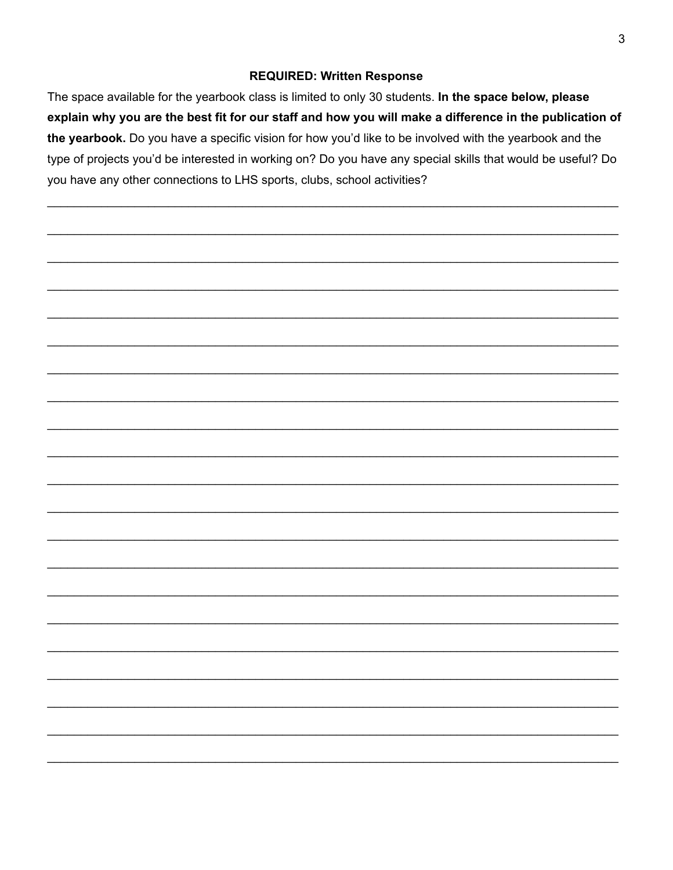# **REQUIRED: Written Response**

The space available for the yearbook class is limited to only 30 students. In the space below, please explain why you are the best fit for our staff and how you will make a difference in the publication of the yearbook. Do you have a specific vision for how you'd like to be involved with the yearbook and the type of projects you'd be interested in working on? Do you have any special skills that would be useful? Do you have any other connections to LHS sports, clubs, school activities?